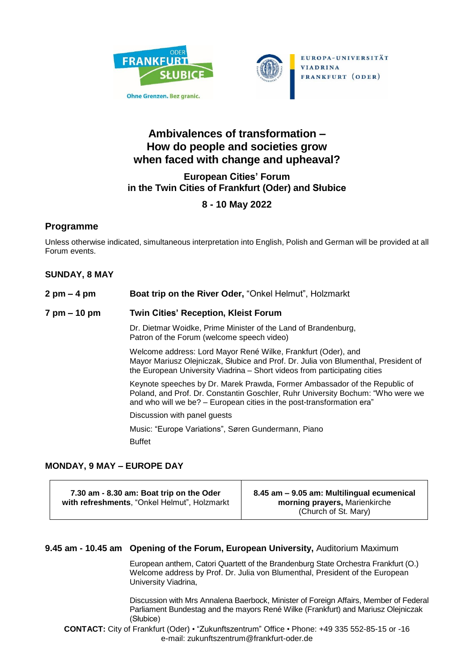



EUROPA-UNIVERSITÄT **VIADRINA** FRANKFURT (ODER)

# **Ambivalences of transformation – How do people and societies grow when faced with change and upheaval?**

## **European Cities' Forum in the Twin Cities of Frankfurt (Oder) and Słubice**

# **8 - 10 May 2022**

# **Programme**

Unless otherwise indicated, simultaneous interpretation into English, Polish and German will be provided at all Forum events.

### **SUNDAY, 8 MAY**

| 2 pm – 4 pm  | Boat trip on the River Oder, "Onkel Helmut", Holzmarkt                                                                                                                                                                                 |
|--------------|----------------------------------------------------------------------------------------------------------------------------------------------------------------------------------------------------------------------------------------|
| 7 pm – 10 pm | <b>Twin Cities' Reception, Kleist Forum</b>                                                                                                                                                                                            |
|              | Dr. Dietmar Woidke, Prime Minister of the Land of Brandenburg,<br>Patron of the Forum (welcome speech video)                                                                                                                           |
|              | Welcome address: Lord Mayor René Wilke, Frankfurt (Oder), and<br>Mayor Mariusz Olejniczak, Słubice and Prof. Dr. Julia von Blumenthal, President of<br>the European University Viadrina - Short videos from participating cities       |
|              | Keynote speeches by Dr. Marek Prawda, Former Ambassador of the Republic of<br>Poland, and Prof. Dr. Constantin Goschler, Ruhr University Bochum: "Who were we<br>and who will we be? - European cities in the post-transformation era" |
|              | Discussion with panel guests                                                                                                                                                                                                           |
|              | Music: "Europe Variations", Søren Gundermann, Piano                                                                                                                                                                                    |
|              | <b>Buffet</b>                                                                                                                                                                                                                          |

## **MONDAY, 9 MAY – EUROPE DAY**

| 7.30 am - 8.30 am: Boat trip on the Oder     | 8.45 am - 9.05 am: Multilingual ecumenical |
|----------------------------------------------|--------------------------------------------|
| with refreshments, "Onkel Helmut", Holzmarkt | morning prayers, Marienkirche              |
|                                              | (Church of St. Mary)                       |

#### **9.45 am - 10.45 am Opening of the Forum, European University,** Auditorium Maximum

European anthem, Catori Quartett of the Brandenburg State Orchestra Frankfurt (O.) Welcome address by Prof. Dr. Julia von Blumenthal, President of the European University Viadrina,

Discussion with Mrs Annalena Baerbock, Minister of Foreign Affairs, Member of Federal Parliament Bundestag and the mayors René Wilke (Frankfurt) and Mariusz Olejniczak (Słubice)

**CONTACT:** City of Frankfurt (Oder) • "Zukunftszentrum" Office • Phone: +49 335 552-85-15 or -16 e-mail: zukunftszentrum@frankfurt-oder.de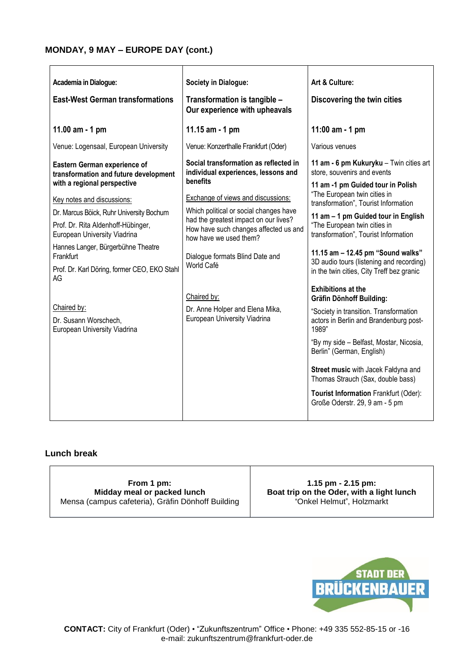#### **MONDAY, 9 MAY – EUROPE DAY (cont.)**

| Academia in Dialogue:                                                 | Society in Dialogue:                                                                                     | Art & Culture:                                                                |
|-----------------------------------------------------------------------|----------------------------------------------------------------------------------------------------------|-------------------------------------------------------------------------------|
| <b>East-West German transformations</b>                               | Transformation is tangible -<br>Our experience with upheavals                                            | Discovering the twin cities                                                   |
| 11.00 am - 1 pm                                                       | 11.15 $am - 1 pm$                                                                                        | 11:00 am - 1 pm                                                               |
| Venue: Logensaal, European University                                 | Venue: Konzerthalle Frankfurt (Oder)                                                                     | Various venues                                                                |
| Eastern German experience of<br>transformation and future development | Social transformation as reflected in<br>individual experiences, lessons and                             | 11 am - 6 pm Kukuryku - Twin cities art<br>store, souvenirs and events        |
| with a regional perspective                                           | benefits                                                                                                 | 11 am -1 pm Guided tour in Polish                                             |
| Key notes and discussions:                                            | <b>Exchange of views and discussions:</b>                                                                | "The European twin cities in<br>transformation", Tourist Information          |
| Dr. Marcus Böick, Ruhr University Bochum                              | Which political or social changes have                                                                   | 11 am - 1 pm Guided tour in English                                           |
| Prof. Dr. Rita Aldenhoff-Hübinger,<br>European University Viadrina    | had the greatest impact on our lives?<br>How have such changes affected us and<br>how have we used them? | "The European twin cities in<br>transformation", Tourist Information          |
| Hannes Langer, Bürgerbühne Theatre<br>Frankfurt                       | Dialogue formats Blind Date and                                                                          | 11.15 am - 12.45 pm "Sound walks"<br>3D audio tours (listening and recording) |
| Prof. Dr. Karl Döring, former CEO, EKO Stahl<br>AG                    | World Café                                                                                               | in the twin cities, City Treff bez granic                                     |
|                                                                       | Chaired by:                                                                                              | <b>Exhibitions at the</b><br><b>Gräfin Dönhoff Building:</b>                  |
| Chaired by:                                                           | Dr. Anne Holper and Elena Mika,                                                                          | "Society in transition. Transformation                                        |
| Dr. Susann Worschech,<br>European University Viadrina                 | European University Viadrina                                                                             | actors in Berlin and Brandenburg post-<br>1989"                               |
|                                                                       |                                                                                                          | "By my side - Belfast, Mostar, Nicosia,<br>Berlin" (German, English)          |
|                                                                       |                                                                                                          | Street music with Jacek Faldyna and<br>Thomas Strauch (Sax, double bass)      |
|                                                                       |                                                                                                          | Tourist Information Frankfurt (Oder):<br>Große Oderstr. 29, 9 am - 5 pm       |
|                                                                       |                                                                                                          |                                                                               |

## **Lunch break**

**From 1 pm: Midday meal or packed lunch** Mensa (campus cafeteria), Gräfin Dönhoff Building

**1.15 pm - 2.15 pm: Boat trip on the Oder, with a light lunch** "Onkel Helmut", Holzmarkt

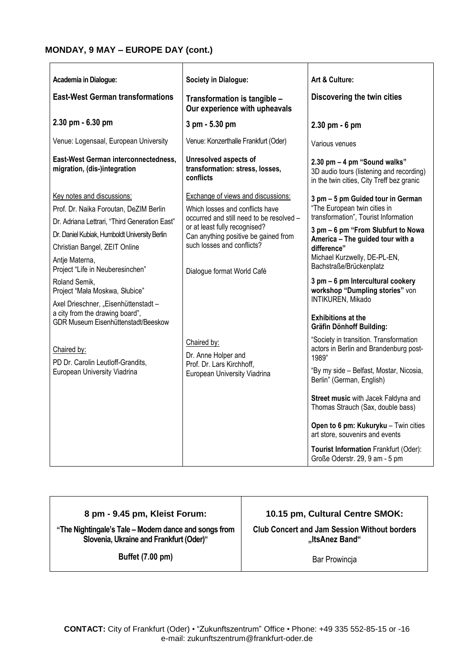### **MONDAY, 9 MAY – EUROPE DAY (cont.)**

| Academia in Dialogue:                                                                                                 | Society in Dialogue:                                                                            | Art & Culture:                                                                                                                                   |
|-----------------------------------------------------------------------------------------------------------------------|-------------------------------------------------------------------------------------------------|--------------------------------------------------------------------------------------------------------------------------------------------------|
| <b>East-West German transformations</b>                                                                               | Transformation is tangible -<br>Our experience with upheavals                                   | Discovering the twin cities                                                                                                                      |
| 2.30 pm - 6.30 pm                                                                                                     | 3 pm - 5.30 pm                                                                                  | 2.30 pm - 6 pm                                                                                                                                   |
| Venue: Logensaal, European University                                                                                 | Venue: Konzerthalle Frankfurt (Oder)                                                            | Various venues                                                                                                                                   |
| East-West German interconnectedness,<br>migration, (dis-)integration                                                  | <b>Unresolved aspects of</b><br>transformation: stress, losses,<br>conflicts                    | 2.30 pm - 4 pm "Sound walks"<br>3D audio tours (listening and recording)<br>in the twin cities, City Treff bez granic                            |
| Key notes and discussions:                                                                                            | Exchange of views and discussions:                                                              | 3 pm - 5 pm Guided tour in German                                                                                                                |
| Prof. Dr. Naika Foroutan, DeZIM Berlin                                                                                | Which losses and conflicts have                                                                 | "The European twin cities in                                                                                                                     |
| Dr. Adriana Lettrari, "Third Generation East"                                                                         | occurred and still need to be resolved -<br>or at least fully recognised?                       | transformation", Tourist Information                                                                                                             |
| Dr. Daniel Kubiak, Humboldt University Berlin                                                                         | Can anything positive be gained from                                                            | 3 pm - 6 pm "From Słubfurt to Nowa<br>America - The guided tour with a<br>difference"<br>Michael Kurzwelly, DE-PL-EN,<br>Bachstraße/Brückenplatz |
| Christian Bangel, ZEIT Online                                                                                         | such losses and conflicts?                                                                      |                                                                                                                                                  |
| Antje Materna,<br>Project "Life in Neuberesinchen"                                                                    | Dialogue format World Café                                                                      |                                                                                                                                                  |
| Roland Semik.<br>Project "Mała Moskwa, Słubice"                                                                       |                                                                                                 | 3 pm - 6 pm Intercultural cookery<br>workshop "Dumpling stories" von<br>INTIKUREN, Mikado                                                        |
| Axel Drieschner, "Eisenhüttenstadt -<br>a city from the drawing board",<br><b>GDR Museum Eisenhüttenstadt/Beeskow</b> |                                                                                                 | <b>Exhibitions at the</b><br><b>Gräfin Dönhoff Building:</b>                                                                                     |
| Chaired by:<br>PD Dr. Carolin Leutloff-Grandits,                                                                      | Chaired by:<br>Dr. Anne Holper and<br>Prof. Dr. Lars Kirchhoff,<br>European University Viadrina | "Society in transition. Transformation<br>actors in Berlin and Brandenburg post-<br>1989"                                                        |
| European University Viadrina                                                                                          |                                                                                                 | "By my side - Belfast, Mostar, Nicosia,<br>Berlin" (German, English)                                                                             |
|                                                                                                                       |                                                                                                 | Street music with Jacek Faldyna and<br>Thomas Strauch (Sax, double bass)                                                                         |
|                                                                                                                       |                                                                                                 | Open to 6 pm: Kukuryku - Twin cities<br>art store, souvenirs and events                                                                          |
|                                                                                                                       |                                                                                                 | Tourist Information Frankfurt (Oder):<br>Große Oderstr. 29, 9 am - 5 pm                                                                          |

# **8 pm - 9.45 pm, Kleist Forum:**

**"The Nightingale's Tale –Modern dance and songs from Slovenia, Ukraine and Frankfurt (Oder)"**

**10.15 pm, Cultural Centre SMOK:**

**Club Concert and Jam Session Without borders "ItsAnez Band"**

**Buffet (7.00 pm)**

Bar Prowincja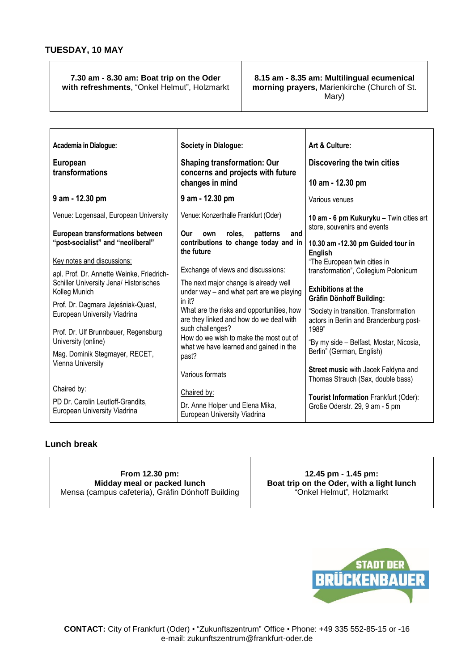#### **7.30 am - 8.30 am: Boat trip on the Oder with refreshments**, "Onkel Helmut", Holzmarkt

#### **8.15 am - 8.35 am: Multilingual ecumenical morning prayers,** Marienkirche (Church of St. Mary)

| Academia in Dialogue:                                             | Society in Dialogue:                                                              | Art & Culture:                                                           |  |
|-------------------------------------------------------------------|-----------------------------------------------------------------------------------|--------------------------------------------------------------------------|--|
| European<br>transformations                                       | <b>Shaping transformation: Our</b>                                                | Discovering the twin cities                                              |  |
|                                                                   | concerns and projects with future<br>changes in mind                              | 10 am - 12.30 pm                                                         |  |
| 9 am - 12.30 pm                                                   | 9 am - 12.30 pm                                                                   | Various venues                                                           |  |
| Venue: Logensaal, European University                             | Venue: Konzerthalle Frankfurt (Oder)                                              | 10 am - 6 pm Kukuryku - Twin cities art                                  |  |
| <b>European transformations between</b>                           | Our<br>roles.<br>patterns<br>own<br>and                                           | store, souvenirs and events                                              |  |
| "post-socialist" and "neoliberal"                                 | contributions to change today and in<br>the future                                | 10.30 am -12.30 pm Guided tour in<br><b>English</b>                      |  |
| Key notes and discussions:                                        |                                                                                   | "The European twin cities in                                             |  |
| apl. Prof. Dr. Annette Weinke, Friedrich-                         | Exchange of views and discussions:                                                | transformation", Collegium Polonicum                                     |  |
| Schiller University Jena/ Historisches<br>Kolleg Munich           | The next major change is already well<br>under way - and what part are we playing | <b>Exhibitions at the</b><br><b>Gräfin Dönhoff Building:</b>             |  |
| Prof. Dr. Dagmara Jajeśniak-Quast,                                | in it?<br>What are the risks and opportunities, how                               | "Society in transition. Transformation                                   |  |
| European University Viadrina                                      | are they linked and how do we deal with                                           | actors in Berlin and Brandenburg post-                                   |  |
| Prof. Dr. Ulf Brunnbauer, Regensburg                              | such challenges?<br>How do we wish to make the most out of                        | 1989"                                                                    |  |
| University (online)                                               | what we have learned and gained in the                                            | "By my side - Belfast, Mostar, Nicosia,<br>Berlin" (German, English)     |  |
| Mag. Dominik Stegmayer, RECET,<br>Vienna University               | past?                                                                             |                                                                          |  |
|                                                                   | Various formats                                                                   | Street music with Jacek Faldyna and<br>Thomas Strauch (Sax, double bass) |  |
| Chaired by:                                                       | Chaired by:                                                                       | Tourist Information Frankfurt (Oder):                                    |  |
| PD Dr. Carolin Leutloff-Grandits,<br>European University Viadrina | Dr. Anne Holper und Elena Mika,<br>European University Viadrina                   | Große Oderstr. 29, 9 am - 5 pm                                           |  |

#### **Lunch break**

**From 12.30 pm: Midday meal or packed lunch** Mensa (campus cafeteria), Gräfin Dönhoff Building

**12.45 pm - 1.45 pm: Boat trip on the Oder, with a light lunch** "Onkel Helmut", Holzmarkt